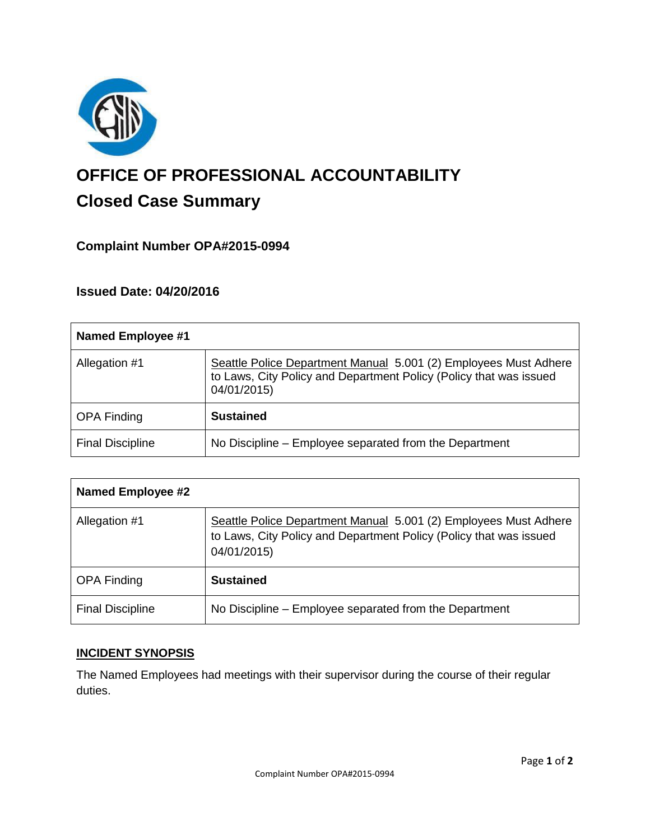

# **OFFICE OF PROFESSIONAL ACCOUNTABILITY Closed Case Summary**

# **Complaint Number OPA#2015-0994**

## **Issued Date: 04/20/2016**

| <b>Named Employee #1</b> |                                                                                                                                                       |
|--------------------------|-------------------------------------------------------------------------------------------------------------------------------------------------------|
| Allegation #1            | Seattle Police Department Manual 5.001 (2) Employees Must Adhere<br>to Laws, City Policy and Department Policy (Policy that was issued<br>04/01/2015) |
| <b>OPA Finding</b>       | <b>Sustained</b>                                                                                                                                      |
| <b>Final Discipline</b>  | No Discipline – Employee separated from the Department                                                                                                |

| <b>Named Employee #2</b> |                                                                                                                                                       |
|--------------------------|-------------------------------------------------------------------------------------------------------------------------------------------------------|
| Allegation #1            | Seattle Police Department Manual 5.001 (2) Employees Must Adhere<br>to Laws, City Policy and Department Policy (Policy that was issued<br>04/01/2015) |
| <b>OPA Finding</b>       | <b>Sustained</b>                                                                                                                                      |
| <b>Final Discipline</b>  | No Discipline – Employee separated from the Department                                                                                                |

## **INCIDENT SYNOPSIS**

The Named Employees had meetings with their supervisor during the course of their regular duties.